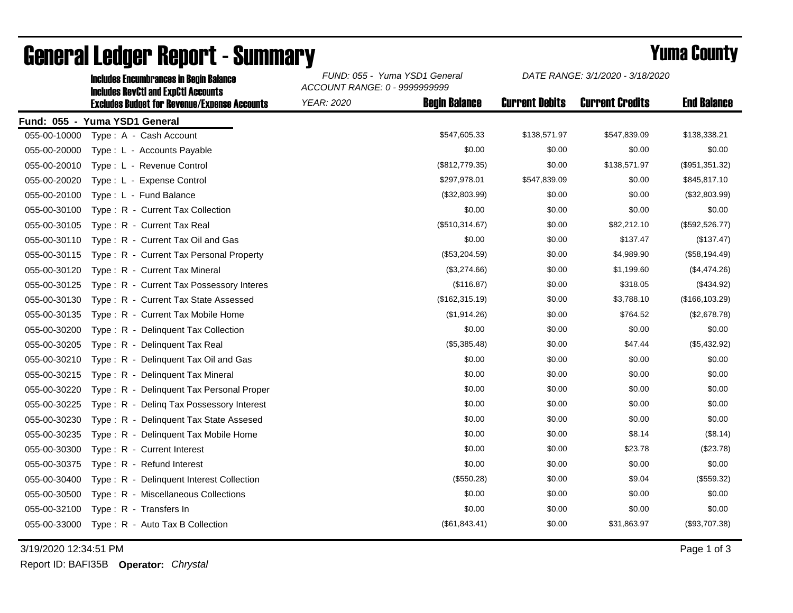|              | <b>Includes RevCtI and ExpCtI Accounts</b>          | ACCOUNT RANGE: 0 - 9999999999 |                      |                       |                        |                    |  |  |
|--------------|-----------------------------------------------------|-------------------------------|----------------------|-----------------------|------------------------|--------------------|--|--|
|              | <b>Excludes Budget for Revenue/Expense Accounts</b> | YEAR: 2020                    | <b>Begin Balance</b> | <b>Current Debits</b> | <b>Current Credits</b> | <b>End Balance</b> |  |  |
|              | Fund: 055 - Yuma YSD1 General                       |                               |                      |                       |                        |                    |  |  |
| 055-00-10000 | Type: A - Cash Account                              |                               | \$547,605.33         | \$138,571.97          | \$547,839.09           | \$138,338.21       |  |  |
| 055-00-20000 | Type: L - Accounts Payable                          |                               | \$0.00               | \$0.00                | \$0.00                 | \$0.00             |  |  |
| 055-00-20010 | Type: L - Revenue Control                           |                               | (\$812,779.35)       | \$0.00                | \$138,571.97           | (\$951,351.32)     |  |  |
| 055-00-20020 | Type: L - Expense Control                           |                               | \$297,978.01         | \$547,839.09          | \$0.00                 | \$845,817.10       |  |  |
| 055-00-20100 | Type: L - Fund Balance                              |                               | (\$32,803.99)        | \$0.00                | \$0.00                 | (\$32,803.99)      |  |  |
| 055-00-30100 | Type: R - Current Tax Collection                    |                               | \$0.00               | \$0.00                | \$0.00                 | \$0.00             |  |  |
| 055-00-30105 | Type: R - Current Tax Real                          |                               | (\$510,314.67)       | \$0.00                | \$82,212.10            | (\$592,526.77)     |  |  |
| 055-00-30110 | Type: R - Current Tax Oil and Gas                   |                               | \$0.00               | \$0.00                | \$137.47               | (\$137.47)         |  |  |
| 055-00-30115 | Type: R - Current Tax Personal Property             |                               | (\$53,204.59)        | \$0.00                | \$4,989.90             | (\$58,194.49)      |  |  |
| 055-00-30120 | Type: R - Current Tax Mineral                       |                               | (\$3,274.66)         | \$0.00                | \$1,199.60             | (\$4,474.26)       |  |  |
| 055-00-30125 | Type: R - Current Tax Possessory Interes            |                               | (\$116.87)           | \$0.00                | \$318.05               | (\$434.92)         |  |  |
| 055-00-30130 | Type: R - Current Tax State Assessed                |                               | (\$162,315.19)       | \$0.00                | \$3,788.10             | (\$166, 103.29)    |  |  |
| 055-00-30135 | Type: R - Current Tax Mobile Home                   |                               | (\$1,914.26)         | \$0.00                | \$764.52               | (\$2,678.78)       |  |  |
| 055-00-30200 | Type: R - Delinquent Tax Collection                 |                               | \$0.00               | \$0.00                | \$0.00                 | \$0.00             |  |  |
| 055-00-30205 | Type: R - Delinguent Tax Real                       |                               | (\$5,385.48)         | \$0.00                | \$47.44                | (\$5,432.92)       |  |  |
| 055-00-30210 | Type: R - Delinquent Tax Oil and Gas                |                               | \$0.00               | \$0.00                | \$0.00                 | \$0.00             |  |  |
| 055-00-30215 | Type: R - Delinquent Tax Mineral                    |                               | \$0.00               | \$0.00                | \$0.00                 | \$0.00             |  |  |
| 055-00-30220 | Type: R - Delinguent Tax Personal Proper            |                               | \$0.00               | \$0.00                | \$0.00                 | \$0.00             |  |  |
| 055-00-30225 | Type: R - Deling Tax Possessory Interest            |                               | \$0.00               | \$0.00                | \$0.00                 | \$0.00             |  |  |
| 055-00-30230 | Type: R - Delinguent Tax State Assesed              |                               | \$0.00               | \$0.00                | \$0.00                 | \$0.00             |  |  |
| 055-00-30235 | Type: R - Delinquent Tax Mobile Home                |                               | \$0.00               | \$0.00                | \$8.14                 | (\$8.14)           |  |  |
| 055-00-30300 | Type: R - Current Interest                          |                               | \$0.00               | \$0.00                | \$23.78                | (\$23.78)          |  |  |
| 055-00-30375 | Type: R - Refund Interest                           |                               | \$0.00               | \$0.00                | \$0.00                 | \$0.00             |  |  |
| 055-00-30400 | Type: R - Delinquent Interest Collection            |                               | (\$550.28)           | \$0.00                | \$9.04                 | (\$559.32)         |  |  |
| 055-00-30500 | Type: R - Miscellaneous Collections                 |                               | \$0.00               | \$0.00                | \$0.00                 | \$0.00             |  |  |
| 055-00-32100 | Type: R - Transfers In                              |                               | \$0.00               | \$0.00                | \$0.00                 | \$0.00             |  |  |
| 055-00-33000 | Type: R - Auto Tax B Collection                     |                               | (\$61,843.41)        | \$0.00                | \$31,863.97            | (\$93,707.38)      |  |  |
|              |                                                     |                               |                      |                       |                        |                    |  |  |

## General Ledger Report - Summary **Example 2018** Yuma County

Includes Encumbrances in Begin Balance *FUND: 055 - Yuma YSD1 General*

3/19/2020 12:34:51 PM Page 1 of 3

Report ID: BAFI35B **Operator:** *Chrystal*

*DATE RANGE: 3/1/2020 - 3/18/2020*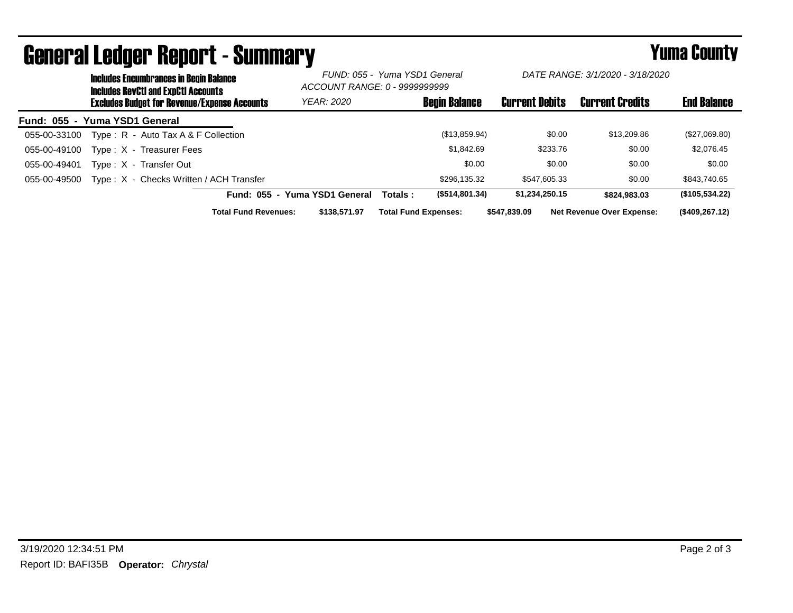|                               | avnul al coagol tiupul t<br>___________<br><b>Includes Encumbrances in Begin Balance</b><br><b>Includes RevCtI and ExpCtI Accounts</b> |                             | FUND: 055 - Yuma YSD1 General<br>ACCOUNT RANGE: 0 - 9999999999 |         | DATE RANGE: 3/1/2020 - 3/18/2020 |                       |              |                                  |                    |
|-------------------------------|----------------------------------------------------------------------------------------------------------------------------------------|-----------------------------|----------------------------------------------------------------|---------|----------------------------------|-----------------------|--------------|----------------------------------|--------------------|
|                               | <b>Excludes Budget for Revenue/Expense Accounts</b>                                                                                    |                             | <b>YEAR: 2020</b>                                              |         | <b>Begin Balance</b>             | <b>Current Debits</b> |              | <b>Current Credits</b>           | <b>End Balance</b> |
| Fund: 055 - Yuma YSD1 General |                                                                                                                                        |                             |                                                                |         |                                  |                       |              |                                  |                    |
| 055-00-33100                  | Type: R - Auto Tax A & F Collection                                                                                                    |                             |                                                                |         | (\$13,859.94)                    |                       | \$0.00       | \$13,209.86                      | (\$27,069.80)      |
| 055-00-49100                  | Type: X - Treasurer Fees                                                                                                               |                             |                                                                |         | \$1,842.69                       |                       | \$233.76     | \$0.00                           | \$2,076.45         |
| 055-00-49401                  | Type: X - Transfer Out                                                                                                                 |                             |                                                                |         | \$0.00                           |                       | \$0.00       | \$0.00                           | \$0.00             |
| 055-00-49500                  | Type: X - Checks Written / ACH Transfer                                                                                                |                             |                                                                |         | \$296,135.32                     |                       | \$547.605.33 | \$0.00                           | \$843,740.65       |
|                               |                                                                                                                                        |                             | Fund: 055 - Yuma YSD1 General                                  | Totals: | (\$514,801.34)                   | \$1,234,250.15        |              | \$824.983.03                     | (\$105,534.22)     |
|                               |                                                                                                                                        | <b>Total Fund Revenues:</b> | \$138,571.97                                                   |         | <b>Total Fund Expenses:</b>      | \$547.839.09          |              | <b>Net Revenue Over Expense:</b> | (\$409,267.12)     |

## General Ledger Report - Summary **Example 2018** Yuma County